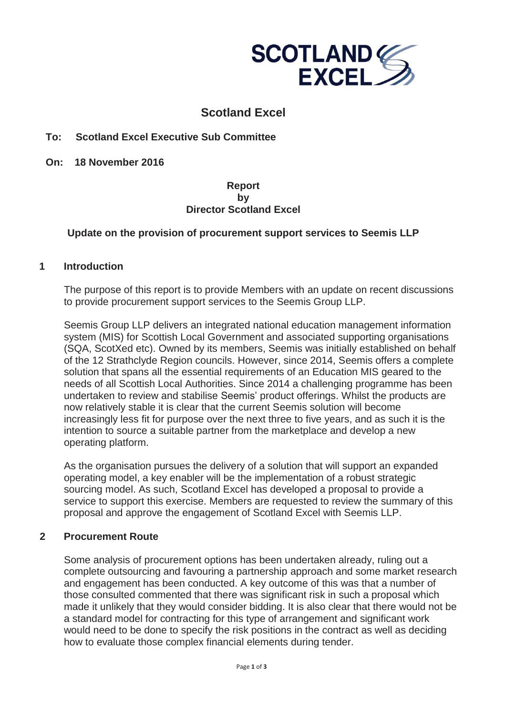

# **Scotland Excel**

### **To: Scotland Excel Executive Sub Committee**

**On: 18 November 2016**

#### **Report by Director Scotland Excel**

### **Update on the provision of procurement support services to Seemis LLP**

#### **1 Introduction**

The purpose of this report is to provide Members with an update on recent discussions to provide procurement support services to the Seemis Group LLP.

Seemis Group LLP delivers an integrated national education management information system (MIS) for Scottish Local Government and associated supporting organisations (SQA, ScotXed etc). Owned by its members, Seemis was initially established on behalf of the 12 Strathclyde Region councils. However, since 2014, Seemis offers a complete solution that spans all the essential requirements of an Education MIS geared to the needs of all Scottish Local Authorities. Since 2014 a challenging programme has been undertaken to review and stabilise Seemis' product offerings. Whilst the products are now relatively stable it is clear that the current Seemis solution will become increasingly less fit for purpose over the next three to five years, and as such it is the intention to source a suitable partner from the marketplace and develop a new operating platform.

As the organisation pursues the delivery of a solution that will support an expanded operating model, a key enabler will be the implementation of a robust strategic sourcing model. As such, Scotland Excel has developed a proposal to provide a service to support this exercise. Members are requested to review the summary of this proposal and approve the engagement of Scotland Excel with Seemis LLP.

### **2 Procurement Route**

Some analysis of procurement options has been undertaken already, ruling out a complete outsourcing and favouring a partnership approach and some market research and engagement has been conducted. A key outcome of this was that a number of those consulted commented that there was significant risk in such a proposal which made it unlikely that they would consider bidding. It is also clear that there would not be a standard model for contracting for this type of arrangement and significant work would need to be done to specify the risk positions in the contract as well as deciding how to evaluate those complex financial elements during tender.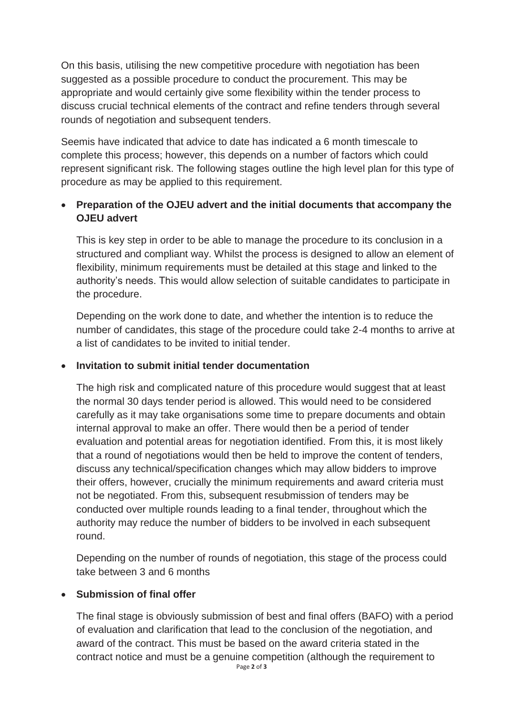On this basis, utilising the new competitive procedure with negotiation has been suggested as a possible procedure to conduct the procurement. This may be appropriate and would certainly give some flexibility within the tender process to discuss crucial technical elements of the contract and refine tenders through several rounds of negotiation and subsequent tenders.

Seemis have indicated that advice to date has indicated a 6 month timescale to complete this process; however, this depends on a number of factors which could represent significant risk. The following stages outline the high level plan for this type of procedure as may be applied to this requirement.

## x **Preparation of the OJEU advert and the initial documents that accompany the OJEU advert**

This is key step in order to be able to manage the procedure to its conclusion in a structured and compliant way. Whilst the process is designed to allow an element of flexibility, minimum requirements must be detailed at this stage and linked to the authority's needs. This would allow selection of suitable candidates to participate in the procedure.

Depending on the work done to date, and whether the intention is to reduce the number of candidates, this stage of the procedure could take 2-4 months to arrive at a list of candidates to be invited to initial tender.

## x **Invitation to submit initial tender documentation**

The high risk and complicated nature of this procedure would suggest that at least the normal 30 days tender period is allowed. This would need to be considered carefully as it may take organisations some time to prepare documents and obtain internal approval to make an offer. There would then be a period of tender evaluation and potential areas for negotiation identified. From this, it is most likely that a round of negotiations would then be held to improve the content of tenders, discuss any technical/specification changes which may allow bidders to improve their offers, however, crucially the minimum requirements and award criteria must not be negotiated. From this, subsequent resubmission of tenders may be conducted over multiple rounds leading to a final tender, throughout which the authority may reduce the number of bidders to be involved in each subsequent round.

Depending on the number of rounds of negotiation, this stage of the process could take between 3 and 6 months

## **Submission of final offer**

The final stage is obviously submission of best and final offers (BAFO) with a period of evaluation and clarification that lead to the conclusion of the negotiation, and award of the contract. This must be based on the award criteria stated in the contract notice and must be a genuine competition (although the requirement to